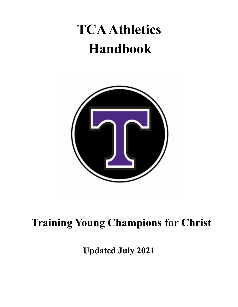# **TCAAthletics Handbook**



# **Training Young Champions for Christ**

**Updated July 2021**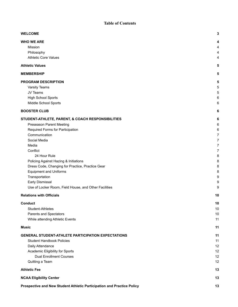#### **Table of Contents**

| <b>WELCOME</b>                                                         | 3              |
|------------------------------------------------------------------------|----------------|
| <b>WHO WE ARE</b>                                                      | 4              |
| Mission                                                                | 4              |
| Philosophy                                                             | 4              |
| <b>Athletic Core Values</b>                                            | 4              |
| <b>Athletic Values</b>                                                 | 5              |
| <b>MEMBERSHIP</b>                                                      | 5              |
| PROGRAM DESCRIPTION                                                    | 5              |
| Varsity Teams                                                          | 5              |
| JV Teams                                                               | 5              |
| <b>High School Sports</b>                                              | 6              |
| Middle School Sports                                                   | 6              |
| <b>BOOSTER CLUB</b>                                                    | 6              |
| STUDENT-ATHLETE, PARENT, & COACH RESPONSIBILITIES                      | 6              |
| Preseason Parent Meeting                                               | 6              |
| Required Forms for Participation                                       | 6              |
| Communication                                                          | 7              |
| Social Media                                                           | $\overline{7}$ |
| Media                                                                  | 7              |
| Conflict                                                               | $\overline{7}$ |
| 24 Hour Rule                                                           | 8              |
| Policing Against Hazing & Initiations                                  | 8              |
| Dress Code, Changing for Practice, Practice Gear                       | 8              |
| <b>Equipment and Uniforms</b>                                          | 8              |
| Transportation                                                         | 9              |
| Early Dismissal                                                        | 9              |
| Use of Locker Room, Field House, and Other Facilities                  | 9              |
| <b>Relations with Officials</b>                                        | 10             |
| <b>Conduct</b>                                                         | 10             |
| Student-Athletes                                                       | 10             |
| Parents and Spectators                                                 | 10             |
| While attending Athletic Events                                        | 11             |
| <b>Music</b>                                                           | 11             |
| <b>GENERAL STUDENT-ATHLETE PARTICIPATION EXPECTATIONS</b>              | 11             |
| <b>Student Handbook Policies</b>                                       | 11             |
| Daily Attendance                                                       | 12             |
| Academic Eligibility for Sports                                        | 12             |
| <b>Dual Enrollment Courses</b>                                         | 12             |
| Quitting a Team                                                        | 12             |
| <b>Athletic Fee</b>                                                    | 13             |
| <b>NCAA Eligibility Center</b>                                         | 13             |
| Prospective and New Student Athletic Participation and Practice Policy | 13             |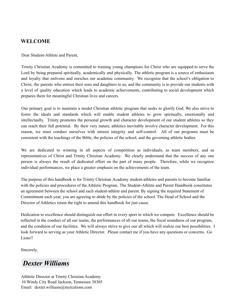#### <span id="page-2-0"></span>**WELCOME**

Dear Student-Athlete and Parent,

Trinity Christian Academy is committed to training young champions for Christ who are equipped to serve the Lord by being prepared spiritually, academically and physically. The athletic program is a source of enthusiasm and loyalty that enlivens and enriches our academic community. We recognize that the school's obligation to Christ, the parents who entrust their sons and daughters to us, and the community is to provide our students with a level of quality education which leads to academic achievements, contributing to social development which prepares them for meaningful Christian lives and careers.

Our primary goal is to maintain a model Christian athletic program that seeks to glorify God. We also strive to foster the ideals and standards which will enable student athletes to grow spiritually, emotionally and intellectually. Trinity promotes the personal growth and character development of our student athletes so they can reach their full potential. By their very nature, athletics inevitably involve character development. For this reason, we must conduct ourselves with utmost integrity and self-control. All of our programs must be consistent with the teachings of the Bible, the policies of the school, and the governing athletic bodies.

We are dedicated to winning in all aspects of competition as individuals, as team members, and as representatives of Christ and Trinity Christian Academy. We clearly understand that the success of any one person is always the result of dedicated effort on the part of many people. Therefore, while we recognize individual performances, we place a greater emphasis on the achievements of the team.

The purpose of this handbook is for Trinity Christian Academy student-athletes and parents to become familiar with the policies and procedures of the Athletic Program. The Student-Athlete and Parent Handbook constitutes an agreement between the school and each student-athlete and parent. By signing the required Statement of Commitment each year, you are agreeing to abide by the policies of the school. The Head of School and the Director of Athletics retain the right to amend this handbook for just cause.

Dedication to excellence should distinguish our effort in every sport in which we compete. Excellence should be reflected in the conduct of all our teams, the performances of all our teams, the fiscal soundness of our program, and the condition of our facilities. We will always strive to give our all which will realize our best possibilities. I look forward to serving as your Athletic Director. Please contact me if you have any questions or concerns. Go Lions!!

Sincerely,

# *[Dexter Williams](mailto:dexter.williams@mytcalions.com)*

Athletic Director at Trinity Christian Academy 10 Windy City Road Jackson, Tennessee 38305 Email: dexter.williams@mytcalions.com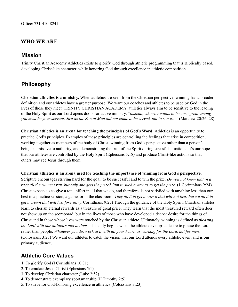#### <span id="page-3-0"></span>**WHO WE ARE**

#### <span id="page-3-1"></span>**Mission**

Trinity Christian Academy Athletics exists to glorify God through athletic programming that is Biblically based, developing Christ-like character, while honoring God through excellence in athletic competition.

# <span id="page-3-2"></span>**Philosophy**

**Christian athletics is a ministry.** When athletics are seen from the Christian perspective, winning has a broader definition and our athletes have a greater purpose. We want our coaches and athletes to be used by God in the lives of those they meet. TRINITY CHRISTIAN ACADEMY athletics always aim to be sensitive to the leading of the Holy Spirit as our Lord opens doors for active ministry. "*Instead, whoever wants to become great among* you must be your servant. Just as the Son of Man did not come to be served, but to serve..." (Matthew 20:26, 28)

**Christian athletics is an arena for teaching the principles of God's Word.** Athletics is an opportunity to practice God's principles. Examples of these principles are controlling the feelings that arise in competition, working together as members of the body of Christ, winning from God's perspective rather than a person's, being submissive to authority, and demonstrating the fruit of the Spirit during stressful situations. It's our hope that our athletes are controlled by the Holy Spirit (Ephesians 5:18) and produce Christ-like actions so that others may see Jesus through them.

#### **Christian athletics is an arena used for teaching the importance of winning from God's perspective.**

Scripture encourages striving hard for the goal, to be successful and to win the prize. *Do you not know that in a* race all the runners run, but only one gets the prize? Run in such a way as to get the prize. (1 Corinthians 9:24) Christ expects us to give a total effort in all that we do, and therefore, is not satisfied with anything less than our best in a practice session, a game, or in the classroom. They do it to get a crown that will not last; but we do it to *get a crown that will last forever.* (1 Corinthians 9:25) Through the guidance of the Holy Spirit, Christian athletes learn to cherish eternal rewards as a treasure of great price. They learn that the most treasured reward often does not show up on the scoreboard, but in the lives of those who have developed a deeper desire for the things of Christ and in those whose lives were touched by the Christian athlete. Ultimately, winning is defined as *pleasing the Lord with our attitudes and actions.* This only begins when the athlete develops a desire to please the Lord rather than people. Whatever you do, work at it with all your heart, as working for the Lord, not for men. (Colossians 3:23) We want our athletes to catch the vision that our Lord attends every athletic event and is our primary audience.

#### <span id="page-3-3"></span>**Athletic Core Values**

- 1. To glorify God (I Corinthians 10:31)
- 2. To emulate Jesus Christ (Ephesians 5:1)
- 3. To develop Christian character (Luke 2:52)
- 4. To demonstrate exemplary sportsmanship (II Timothy 2:5)
- 5. To strive for God-honoring excellence in athletics (Colossians 3:23)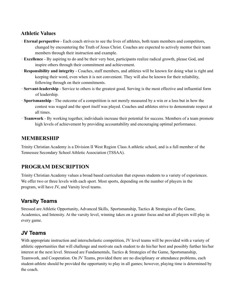#### <span id="page-4-0"></span>**Athletic Values**

- · **Eternal perspective** Each coach strives to see the lives of athletes, both team members and competitors, changed by encountering the Truth of Jesus Christ. Coaches are expected to actively mentor their team members through their instruction and example.
- · **Excellence** By aspiring to do and be their very best, participants realize radical growth, please God, and inspire others through their commitment and achievement.
- · **Responsibility and integrity** Coaches, staff members, and athletes will be known for doing what is right and keeping their word, even when it is not convenient. They will also be known for their reliability, following through on their commitments.
- · **Servant-leadership** Service to others is the greatest good. Serving is the most effective and influential form of leadership.
- · **Sportsmanship** The outcome of a competition is not merely measured by a win or a loss but in how the contest was waged and the sport itself was played. Coaches and athletes strive to demonstrate respect at all times.
- · **Teamwork** By working together, individuals increase their potential for success. Members of a team promote high levels of achievement by providing accountability and encouraging optimal performance.

#### <span id="page-4-1"></span>**MEMBERSHIP**

Trinity Christian Academy is a Division II West Region Class A athletic school, and is a full member of the Tennessee Secondary School Athletic Association (TSSAA).

#### <span id="page-4-2"></span>**PROGRAM DESCRIPTION**

Trinity Christian Academy values a broad based curriculum that exposes students to a variety of experiences. We offer two or three levels with each sport. Most sports, depending on the number of players in the program, will have JV, and Varsity level teams.

# <span id="page-4-3"></span>**Varsity Teams**

Stressed are Athletic Opportunity, Advanced Skills, Sportsmanship, Tactics & Strategies of the Game, Academics, and Intensity. At the varsity level, winning takes on a greater focus and not all players will play in every game.

#### <span id="page-4-4"></span>**JV Teams**

With appropriate instruction and interscholastic competition, JV level teams will be provided with a variety of athletic opportunities that will challenge and motivate each student to do his/her best and possibly further his/her interest at the next level. Stressed are Fundamentals, Tactics & Strategies of the Game, Sportsmanship, Teamwork, and Cooperation. On JV Teams, provided there are no disciplinary or attendance problems, each student-athlete should be provided the opportunity to play in all games; however, playing time is determined by the coach.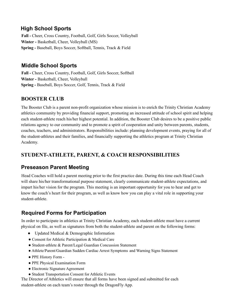# <span id="page-5-0"></span>**High School Sports**

**Fall -** Cheer, Cross Country, Football, Golf, Girls Soccer, Volleyball **Winter -** Basketball, Cheer, Volleyball (MS) **Spring -** Baseball, Boys Soccer, Softball, Tennis, Track & Field

### <span id="page-5-1"></span>**Middle School Sports**

**Fall -** Cheer, Cross Country, Football, Golf, Girls Soccer, Softball **Winter -** Basketball, Cheer, Volleyball **Spring -** Baseball, Boys Soccer, Golf, Tennis, Track & Field

#### <span id="page-5-2"></span>**BOOSTER CLUB**

The Booster Club is a parent non-profit organization whose mission is to enrich the Trinity Christian Academy athletics community by providing financial support, promoting an increased attitude of school spirit and helping each student-athlete reach his/her highest potential. In addition, the Booster Club desires to be a positive public relations agency to our community and to promote a spirit of cooperation and unity between parents, students, coaches, teachers, and administrators. Responsibilities include: planning development events, praying for all of the student-athletes and their families, and financially supporting the athletics program at Trinity Christian Academy.

### <span id="page-5-3"></span>**STUDENT-ATHLETE, PARENT, & COACH RESPONSIBILITIES**

#### <span id="page-5-4"></span>**Preseason Parent Meeting**

Head Coaches will hold a parent meeting prior to the first practice date. During this time each Head Coach will share his/her transformational purpose statement, clearly communicate student-athlete expectations, and impart his/her vision for the program. This meeting is an important opportunity for you to hear and get to know the coach's heart for their program, as well as know how you can play a vital role in supporting your student-athlete.

# <span id="page-5-5"></span>**Required Forms for Participation**

In order to participate in athletics at Trinity Christian Academy, each student-athlete must have a current physical on file, as well as signatures from both the student-athlete and parent on the following forms:

- Updated Medical & Demographic Information
- Consent for Athletic Participation & Medical Care
- Student-athlete & Parent/Legal Guardian Concussion Statement
- Athlete/Parent/Guardian Sudden Cardiac Arrest Symptoms and Warning Signs Statement
- PPE History Form -
- PPE Physical Examination Form
- Electronic Signature Agreement
- Student Transportation Consent for Athletic Events

The Director of Athletics will ensure that all forms have been signed and submitted for each student-athlete on each team's roster through the DragonFly App.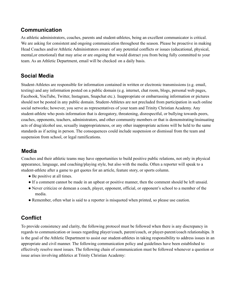#### <span id="page-6-0"></span>**Communication**

As athletic administrators, coaches, parents and student-athletes, being an excellent communicator is critical. We are asking for consistent and ongoing communication throughout the season. Please be proactive in making Head Coaches and/or Athletic Administrators aware of any potential conflicts or issues (educational, physical, mental,or emotional) that may arise or are ongoing that would distract you from being fully committed to your team. As an Athletic Department, email will be checked on a daily basis.

#### <span id="page-6-1"></span>**Social Media**

Student-Athletes are responsible for information contained in written or electronic transmissions (e.g. email, texting) and any information posted on a public domain (e.g. internet, chat room, blogs, personal web pages, Facebook, YouTube, Twitter, Instagram, Snapchat etc.). Inappropriate or embarrassing information or pictures should not be posted in any public domain. Student-Athletes are not precluded from participation in such online social networks; however, you serve as representatives of your team and Trinity Christian Academy. Any student-athlete who posts information that is derogatory, threatening, disrespectful, or bullying towards peers, coaches, opponents, teachers, administrators, and other community members or that is demonstrating/insinuating acts of drug/alcohol use, sexually inappropriateness, or any other inappropriate actions will be held to the same standards as if acting in person. The consequences could include suspension or dismissal from the team and suspension from school, or legal ramifications.

#### <span id="page-6-2"></span>**Media**

Coaches and their athletic teams may have opportunities to build positive public relations, not only in physical appearance, language, and coaching/playing style, but also with the media. Often a reporter will speak to a student-athlete after a game to get quotes for an article, feature story, or sports column.

- Be positive at all times.
- If a comment cannot be made in an upbeat or positive manner, then the comment should be left unsaid.
- Never criticize or demean a coach, player, opponent, official, or opponent's school to a member of the media.
- <span id="page-6-3"></span>● Remember, often what is said to a reporter is misquoted when printed, so please use caution.

# **Conflict**

To provide consistency and clarity, the following protocol must be followed when there is any discrepancy in regards to communication or issues regarding player/coach, parent/coach, or player-parent/coach relationships. It is the goal of the Athletic Department to assist our student-athletes in taking responsibility to address issues in an appropriate and civil manner. The following communication policy and guidelines have been established to effectively resolve most issues. The following chain of communication must be followed whenever a question or issue arises involving athletics at Trinity Christian Academy: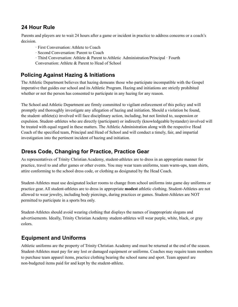# <span id="page-7-0"></span>**24 Hour Rule**

Parents and players are to wait 24 hours after a game or incident in practice to address concerns or a coach's decision.

- · First Conversation: Athlete to Coach
- · Second Conversation: Parent to Coach
- · Third Conversation: Athlete & Parent to Athletic Administration/Principal · Fourth
- Conversation: Athlete & Parent to Head of School

# <span id="page-7-1"></span>**Policing Against Hazing & Initiations**

The Athletic Department believes that hazing demeans those who participate incompatible with the Gospel imperative that guides our school and its Athletic Program. Hazing and initiations are strictly prohibited whether or not the person has consented to participate in any hazing for any reason.

The School and Athletic Department are firmly committed to vigilant enforcement of this policy and will promptly and thoroughly investigate any allegation of hazing and initiation. Should a violation be found, the student–athlete(s) involved will face disciplinary action, including, but not limited to, suspension or expulsion. Student–athletes who are directly (participant) or indirectly (knowledgeable bystander) involved will be treated with equal regard in these matters. The Athletic Administration along with the respective Head Coach of the specified team, Principal and Head of School and will conduct a timely, fair, and impartial investigation into the pertinent incident of hazing and initiation.

# <span id="page-7-2"></span>**Dress Code, Changing for Practice, Practice Gear**

As representatives of Trinity Christian Academy, student-athletes are to dress in an appropriate manner for practice, travel to and after games or other events. You may wear team uniforms, team warm-ups, team shirts, attire conforming to the school dress code, or clothing as designated by the Head Coach.

Student-Athletes must use designated locker rooms to change from school uniforms into game day uniforms or practice gear. All student-athletes are to dress in appropriate **modest** athletic clothing. Student-Athletes are not allowed to wear jewelry, including body piercings, during practices or games. Student-Athletes are NOT permitted to participate in a sports bra only.

Student-Athletes should avoid wearing clothing that displays the names of inappropriate slogans and advertisements. Ideally, Trinity Christian Academy student-athletes will wear purple, white, black, or gray colors.

# <span id="page-7-3"></span>**Equipment and Uniforms**

<span id="page-7-4"></span>Athletic uniforms are the property of Trinity Christian Academy and must be returned at the end of the season. Student-Athletes must pay for any lost or damaged equipment or uniforms. Coaches may require team members to purchase team apparel items, practice clothing bearing the school name and sport. Team apparel are non-budgeted items paid for and kept by the student-athlete.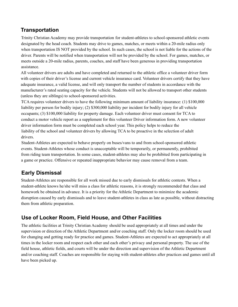### **Transportation**

Trinity Christian Academy may provide transportation for student-athletes to school-sponsored athletic events designated by the head coach. Students may drive to games, matches, or meets within a 20-mile radius only when transportation IS NOT provided by the school. In such cases, the school is not liable for the actions of the driver. Parents will be notified when transportation will not be provided by the school. For games, matches, or meets outside a 20-mile radius, parents, coaches, and staff have been generous in providing transportation assistance.

All volunteer drivers are adults and have completed and returned to the athletic office a volunteer driver form with copies of their driver's license and current vehicle insurance card. Volunteer drivers certify that they have adequate insurance, a valid license, and will only transport the number of students in accordance with the manufacturer's rated seating capacity for the vehicle. Students will not be allowed to transport other students (unless they are siblings) to school-sponsored activities.

TCA requires volunteer drivers to have the following minimum amount of liability insurance: (1) \$100,000 liability per person for bodily injury; (2) \$300,000 liability per incident for bodily injury for all vehicle occupants; (3) \$100,000 liability for property damage. Each volunteer driver must consent for TCA to conduct a motor vehicle report as a supplement for this volunteer Driver information form. A new volunteer driver information form must be completed each school year. This policy helps to reduce the liability of the school and volunteer drivers by allowing TCA to be proactive in the selection of adult drivers.

Student-Athletes are expected to behave properly on buses/vans to and from school-sponsored athletic events. Student-Athletes whose conduct is unacceptable will be temporarily, or permanently, prohibited from riding team transportation. In some cases, student-athletes may also be prohibited from participating in a game or practice. Offensive or repeated inappropriate behavior may cause removal from a team.

# <span id="page-8-0"></span>**Early Dismissal**

Student-Athletes are responsible for all work missed due to early dismissals for athletic contests. When a student-athlete knows he/she will miss a class for athletic reasons, it is strongly recommended that class and homework be obtained in advance. It is a priority for the Athletic Department to minimize the academic disruption caused by early dismissals and to leave student-athletes in class as late as possible, without distracting them from athletic preparation.

# <span id="page-8-1"></span>**Use of Locker Room, Field House, and Other Facilities**

<span id="page-8-2"></span>The athletic facilities at Trinity Christian Academy should be used appropriately at all times and under the supervision or direction of the Athletic Department and/or coaching staff. Only the locker room should be used for changing and getting ready for practice and games. Student-Athletes are expected to act appropriately at all times in the locker room and respect each other and each other's privacy and personal property. The use of the field house, athletic fields, and courts will be under the direction and supervision of the Athletic Department and/or coaching staff. Coaches are responsible for staying with student-athletes after practices and games until all have been picked up.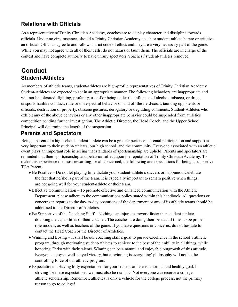# **Relations with Officials**

As a representative of Trinity Christian Academy, coaches are to display character and discipline towards officials. Under no circumstances should a Trinity Christian Academy coach or student-athlete berate or criticize an official. Officials agree to and follow a strict code of ethics and they are a very necessary part of the game. While you may not agree with all of their calls, do not harass or taunt them. The officials are in charge of the contest and have complete authority to have unruly spectators /coaches / student-athletes removed.

# <span id="page-9-1"></span><span id="page-9-0"></span>**Conduct Student-Athletes**

As members of athletic teams, student-athletes are high-profile representatives of Trinity Christian Academy. Student-Athletes are expected to act in an appropriate manner. The following behaviors are inappropriate and will not be tolerated: fighting, profanity, use of or being under the influence of alcohol, tobacco, or drugs, unsportsmanlike conduct, rude or disrespectful behavior on and off the field/court, taunting opponents or officials, destruction of property, obscene gestures, derogatory or degrading comments. Student-Athletes who exhibit any of the above behaviors or any other inappropriate behavior could be suspended from athletics competition pending further investigation. The Athletic Director, the Head Coach, and the Upper School Principal will determine the length of the suspension.

#### <span id="page-9-2"></span>**Parents and Spectators**

Being a parent of a high school student-athlete can be a great experience. Parental participation and support is very important to their student-athletes, our high school, and the community. Everyone associated with an athletic event plays an important role in seeing that standards of sportsmanship are upheld. Parents and spectators are reminded that their sportsmanship and behavior reflect upon the reputation of Trinity Christian Academy. To make this experience the most rewarding for all concerned, the following are expectations for being a supportive TCA Parent.

- Be Positive Do not let playing time dictate your student-athlete's success or happiness. Celebrate the fact that he/she is part of the team. It is especially important to remain positive when things are not going well for your student-athlete or their team.
- Effective Communication To promote effective and enhanced communication with the Athletic Department, please adhere to the communications policy stated within this handbook. All questions or concerns in regards to the day-to-day operations of the department or any of its athletic teams should be addressed to the Director of Athletics.
- Be Supportive of the Coaching Staff Nothing can injure teamwork faster than student-athletes doubting the capabilities of their coaches. The coaches are doing their best at all times to be proper role models, as well as teachers of the game. If you have questions or concerns, do not hesitate to contact the Head Coach or the Director of Athletics.
- Winning and Losing It shall be our coaching staff's goal to pursue excellence in the school's athletic program, through motivating student-athletes to achieve to the best of their ability in all things, while honoring Christ with their talents. Winning can be a natural and enjoyable outgrowth of this attitude. Everyone enjoys a well-played victory, but a 'winning is everything' philosophy will not be the controlling force of our athletic program.
- Expectations Having lofty expectations for your student-athlete is a normal and healthy goal. In striving for these expectations, we must also be realistic. Not everyone can receive a college athletic scholarship. Remember, athletics is only a vehicle for the college process, not the primary reason to go to college!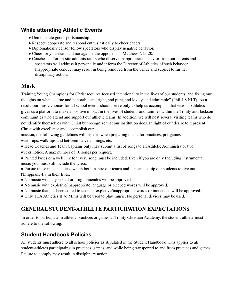#### <span id="page-10-0"></span>**While attending Athletic Events**

- Demonstrate good sportsmanship
- Respect, cooperate and respond enthusiastically to cheerleaders.
- Diplomatically censor fellow spectators who display negative behavior.
- Cheer for your team and not against the opponents Matthew 7:15-20.
- Coaches and/or on-site administrators who observe inappropriate behavior from our parents and spectators will address it personally and inform the Director of Athletics of such behavior. Inappropriate conduct may result in being removed from the venue and subject to further disciplinary action.

#### <span id="page-10-1"></span>**Music**

Training Young Champions for Christ requires focused intentionality in the lives of our students, and fixing our thoughts on what is "true and honorable and right, and pure, and lovely, and admirable" (Phil 4:8 NLT). As a result, our music choices for all school events should serve only to help us accomplish that vision. Athletics gives us a platform to make a positive impact in the lives of students and families within the Trinity and Jackson communities who attend and support our athletic teams. In addition, we will host several visiting teams who do not identify themselves with Christ but recognize that our institution does. In light of our desire to represent Christ with excellence and accomplish our

mission, the following guidelines will be used when preparing music for practices, pre-games, warm-ups, walk-ups and between halves/innings, etc.

- Head Coaches and Team Captains only may submit a list of songs to an Athletic Administrator two weeks notice. A max number of 10 songs per request.
- Printed lyrics or a web link for every song must be included. Even if you are only Including instrumental music you must still include the lyrics.
- Pursue those music choices which both inspire our teams and fans and equip our students to live out Philippians 4:8 in their lives.
- No music with any sexual or drug innuendos will be approved.
- No music with expletive/inappropriate language or bleeped words will be approved.
- No music that has been edited to take out expletive/inappropriate words or innuendos will be approved.
- <span id="page-10-2"></span>● Only TCAAthletics IPad Minis will be used to play music. No personal devices may be used.

#### **GENERAL STUDENT-ATHLETE PARTICIPATION EXPECTATIONS**

In order to participate in athletic practices or games at Trinity Christian Academy, the student-athlete must adhere to the following:

#### <span id="page-10-3"></span>**Student Handbook Policies**

All students must adhere to all school policies as stipulated in the Student Handbook. This applies to all student-athletes participating in practices, games, and while being transported to and from practices and games. Failure to comply may result in disciplinary action.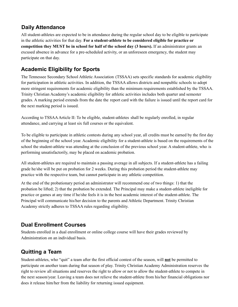# <span id="page-11-0"></span>**Daily Attendance**

All student-athletes are expected to be in attendance during the regular school day to be eligible to participate in the athletic activities for that day. **For a student-athlete to be considered eligible for practice or competition they MUST be in school for half of the school day (3 hours).** If an administrator grants an excused absence in advance for a pre-scheduled activity, or an unforeseen emergency, the student may participate on that day.

# <span id="page-11-1"></span>**Academic Eligibility for Sports**

The Tennessee Secondary School Athletic Association (TSSAA) sets specific standards for academic eligibility for participation in athletic activities. In addition, the TSSAA allows districts and nonpublic schools to adopt more stringent requirements for academic eligibility than the minimum requirements established by the TSSAA. Trinity Christian Academy's academic eligibility for athletic activities includes both quarter and semester grades. A marking period extends from the date the report card with the failure is issued until the report card for the next marking period is issued.

According to TSSAAArticle II: To be eligible, student-athletes shall be regularly enrolled, in regular attendance, and carrying at least six full courses or the equivalent.

To be eligible to participate in athletic contests during any school year, all credits must be earned by the first day of the beginning of the school year. Academic eligibility for a student-athlete is based on the requirements of the school the student-athlete was attending at the conclusion of the previous school year. A student-athlete, who is performing unsatisfactorily, may be placed on academic probation.

All student-athletes are required to maintain a passing average in all subjects. If a student-athlete has a failing grade he/she will be put on probation for 2 weeks. During this probation period the student-athlete may practice with the respective team, but cannot participate in any athletic competition.

At the end of the probationary period an administrator will recommend one of two things: 1) that the probation be lifted; 2) that the probation be extended. The Principal may make a student-athlete ineligible for practice or games at any time if he/she feels it is in the best academic interest of the student-athlete. The Principal will communicate his/her decision to the parents and Athletic Department. Trinity Christian Academy strictly adheres to TSSAA rules regarding eligibility.

# <span id="page-11-2"></span>**Dual Enrollment Courses**

Students enrolled in a dual enrollment or online college course will have their grades reviewed by Administration on an individual basis.

# <span id="page-11-3"></span>**Quitting a Team**

Student-athletes, who "quit" a team after the first official contest of the season, will **not** be permitted to participate on another team during that season of play. Trinity Christian Academy Administration reserves the right to review all situations and reserves the right to allow or not to allow the student-athlete to compete in the next season/year. Leaving a team does not relieve the student-athlete from his/her financial obligations nor does it release him/her from the liability for returning issued equipment.